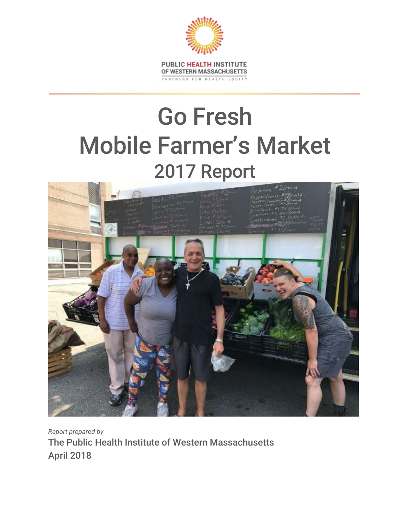

# Go Fresh Mobile Farmer's Market 2017 Report



*Report prepared by* The Public Health Institute of Western Massachusetts April 2018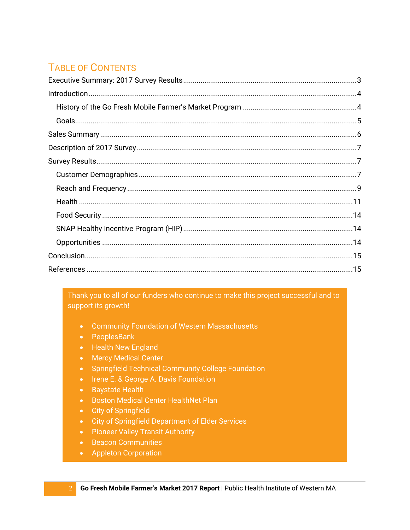# **TABLE OF CONTENTS**

Thank you to all of our funders who continue to make this project successful and to support its growth!

- Community Foundation of Western Massachusetts
- PeoplesBank
- Health New England
- Mercy Medical Center
- Springfield Technical Community College Foundation
- Irene E. & George A. Davis Foundation
- Baystate Health
- Boston Medical Center HealthNet Plan
- City of Springfield
- City of Springfield Department of Elder Services
- Pioneer Valley Transit Authority
- Beacon Communities
- Appleton Corporation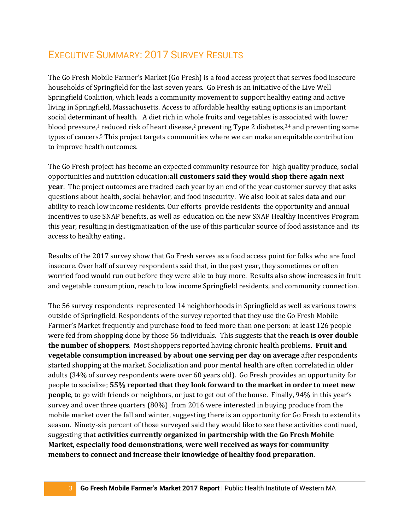## <span id="page-2-0"></span>EXECUTIVE SUMMARY: 2017 SURVEY RESULTS

The Go Fresh Mobile Farmer's Market (Go Fresh) is a food access project that serves food insecure households of Springfield for the last seven years. Go Fresh is an initiative of the Live Well Springfield Coalition, which leads a community movement to support healthy eating and active living in Springfield, Massachusetts. Access to affordable healthy eating options is an important social determinant of health. A diet rich in whole fruits and vegetables is associated with lower blood pressure,<sup>1</sup> reduced risk of heart disease,<sup>2</sup> preventing Type 2 diabetes,<sup>3,4</sup> and preventing some types of cancers.<sup>5</sup> This project targets communities where we can make an equitable contribution to improve health outcomes.

The Go Fresh project has become an expected community resource for high quality produce, social opportunities and nutrition education:**all customers said they would shop there again next year**. The project outcomes are tracked each year by an end of the year customer survey that asks questions about health, social behavior, and food insecurity. We also look at sales data and our ability to reach low income residents. Our efforts provide residents the opportunity and annual incentives to use SNAP benefits, as well as education on the new SNAP Healthy Incentives Program this year, resulting in destigmatization of the use of this particular source of food assistance and its access to healthy eating..

Results of the 2017 survey show that Go Fresh serves as a food access point for folks who are food insecure. Over half of survey respondents said that, in the past year, they sometimes or often worried food would run out before they were able to buy more. Results also show increases in fruit and vegetable consumption, reach to low income Springfield residents, and community connection.

The 56 survey respondents represented 14 neighborhoods in Springfield as well as various towns outside of Springfield. Respondents of the survey reported that they use the Go Fresh Mobile Farmer's Market frequently and purchase food to feed more than one person: at least 126 people were fed from shopping done by those 56 individuals. This suggests that the **reach is over double the number of shoppers**. Most shoppers reported having chronic health problems. **Fruit and vegetable consumption increased by about one serving per day on average** after respondents started shopping at the market. Socialization and poor mental health are often correlated in older adults (34% of survey respondents were over 60 years old). Go Fresh provides an opportunity for people to socialize; **55% reported that they look forward to the market in order to meet new people**, to go with friends or neighbors, or just to get out of the house. Finally, 94% in this year's survey and over three quarters (80%) from 2016 were interested in buying produce from the mobile market over the fall and winter, suggesting there is an opportunity for Go Fresh to extend its season. Ninety-six percent of those surveyed said they would like to see these activities continued, suggesting that **activities currently organized in partnership with the Go Fresh Mobile Market, especially food demonstrations, were well received as ways for community members to connect and increase their knowledge of healthy food preparation**.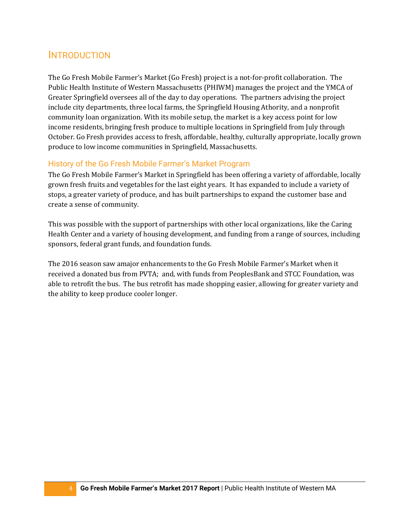## <span id="page-3-0"></span>INTRODUCTION

The Go Fresh Mobile Farmer's Market (Go Fresh) project is a not-for-profit collaboration. The Public Health Institute of Western Massachusetts (PHIWM) manages the project and the YMCA of Greater Springfield oversees all of the day to day operations. The partners advising the project include city departments, three local farms, the Springfield Housing Athority, and a nonprofit community loan organization. With its mobile setup, the market is a key access point for low income residents, bringing fresh produce to multiple locations in Springfield from July through October. Go Fresh provides access to fresh, affordable, healthy, culturally appropriate, locally grown produce to low income communities in Springfield, Massachusetts.

#### <span id="page-3-1"></span>History of the Go Fresh Mobile Farmer's Market Program

The Go Fresh Mobile Farmer's Market in Springfield has been offering a variety of affordable, locally grown fresh fruits and vegetables for the last eight years. It has expanded to include a variety of stops, a greater variety of produce, and has built partnerships to expand the customer base and create a sense of community.

This was possible with the support of partnerships with other local organizations, like the Caring Health Center and a variety of housing development, and funding from a range of sources, including sponsors, federal grant funds, and foundation funds.

The 2016 season saw amajor enhancements to the Go Fresh Mobile Farmer's Market when it received a donated bus from PVTA; and, with funds from PeoplesBank and STCC Foundation, was able to retrofit the bus. The bus retrofit has made shopping easier, allowing for greater variety and the ability to keep produce cooler longer.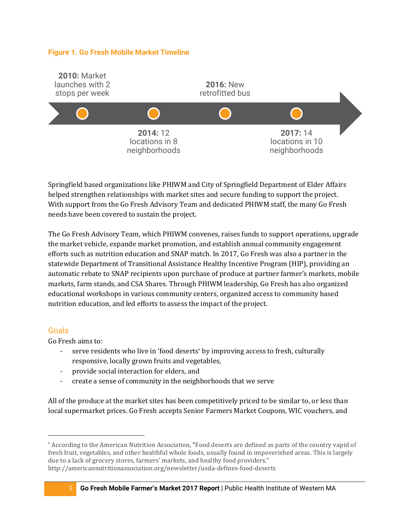#### **Figure 1. Go Fresh Mobile Market Timeline**



Springfield based organizations like PHIWM and City of Springfield Department of Elder Affairs helped strengthen relationships with market sites and secure funding to support the project. With support from the Go Fresh Advisory Team and dedicated PHIWM staff, the many Go Fresh needs have been covered to sustain the project.

The Go Fresh Advisory Team, which PHIWM convenes, raises funds to support operations, upgrade the market vehicle, expande market promotion, and establish annual community engagement efforts such as nutrition education and SNAP match. In 2017, Go Fresh was also a partner in the statewide Department of Transitional Assistance Healthy Incentive Program (HIP), providing an automatic rebate to SNAP recipients upon purchase of produce at partner farmer's markets, mobile markets, farm stands, and CSA Shares. Through PHIWM leadership, Go Fresh has also organized educational workshops in various community centers, organized access to community based nutrition education, and led efforts to assess the impact of the project.

#### <span id="page-4-0"></span>**Goals**

Go Fresh aims to:

- serve residents who live in 'food deserts\* by improving access to fresh, culturally responsive, locally grown fruits and vegetables,
- provide social interaction for elders, and
- create a sense of community in the neighborhoods that we serve

All of the produce at the market sites has been competitively priced to be similar to, or less than local supermarket prices. Go Fresh accepts Senior Farmers Market Coupons, WIC vouchers, and

<sup>\*</sup> According to the American Nutrition Association, "Food deserts are defined as parts of the country vapid of fresh fruit, vegetables, and other healthful whole foods, usually found in impoverished areas. This is largely due to a lack of grocery stores, farmers' markets, and healthy food providers." http://americannutritionassociation.org/newsletter/usda-defines-food-deserts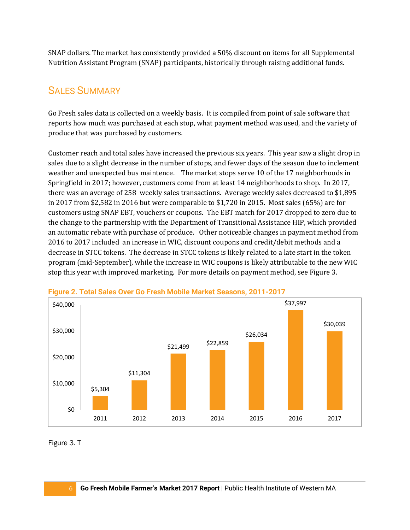SNAP dollars. The market has consistently provided a 50% discount on items for all Supplemental Nutrition Assistant Program (SNAP) participants, historically through raising additional funds.

## <span id="page-5-0"></span>SALES SUMMARY

Go Fresh sales data is collected on a weekly basis. It is compiled from point of sale software that reports how much was purchased at each stop, what payment method was used, and the variety of produce that was purchased by customers.

Customer reach and total sales have increased the previous six years. This year saw a slight drop in sales due to a slight decrease in the number of stops, and fewer days of the season due to inclement weather and unexpected bus maintence. The market stops serve 10 of the 17 neighborhoods in Springfield in 2017; however, customers come from at least 14 neighborhoods to shop. In 2017, there was an average of 258 weekly sales transactions. Average weekly sales decreased to \$1,895 in 2017 from \$2,582 in 2016 but were comparable to \$1,720 in 2015. Most sales (65%) are for customers using SNAP EBT, vouchers or coupons. The EBT match for 2017 dropped to zero due to the change to the partnership with the Department of Transitional Assistance HIP, which provided an automatic rebate with purchase of produce. Other noticeable changes in payment method from 2016 to 2017 included an increase in WIC, discount coupons and credit/debit methods and a decrease in STCC tokens. The decrease in STCC tokens is likely related to a late start in the token program (mid-September), while the increase in WIC coupons is likely attributable to the new WIC stop this year with improved marketing. For more details on payment method, see Figure 3.



#### **Figure 2. Total Sales Over Go Fresh Mobile Market Seasons, 2011-2017**

Figure 3. T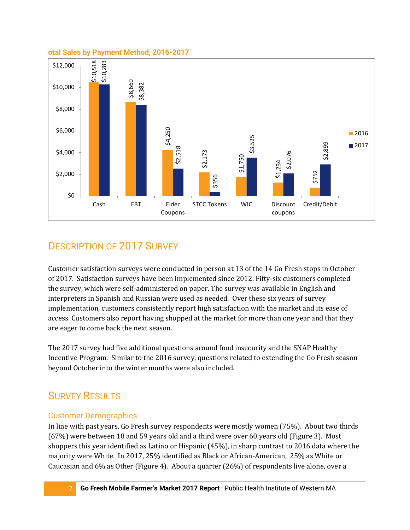#### **otal Sales by Payment Method, 2016-2017**



## <span id="page-6-0"></span>DESCRIPTION OF 2017 SURVEY

Customer satisfaction surveys were conducted in person at 13 of the 14 Go Fresh stops in October of 2017. Satisfaction surveys have been implemented since 2012. Fifty-six customers completed the survey, which were self-administered on paper. The survey was available in English and interpreters in Spanish and Russian were used as needed. Over these six years of survey implementation, customers consistently report high satisfaction with the market and its ease of access. Customers also report having shopped at the market for more than one year and that they are eager to come back the next season.

The 2017 survey had five additional questions around food insecurity and the SNAP Healthy Incentive Program. Similar to the 2016 survey, questions related to extending the Go Fresh season beyond October into the winter months were also included.

## <span id="page-6-1"></span>SURVEY RESULTS

#### <span id="page-6-2"></span>Customer Demographics

In line with past years, Go Fresh survey respondents were mostly women (75%). About two thirds (67%) were between 18 and 59 years old and a third were over 60 years old (Figure 3). Most shoppers this year identified as Latino or Hispanic (45%), in sharp contrast to 2016 data where the majority were White. In 2017, 25% identified as Black or African-American, 25% as White or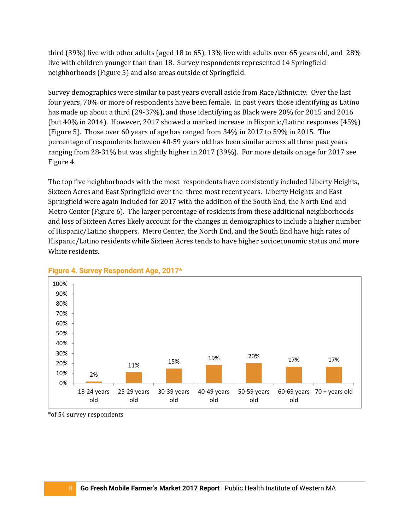third (39%) live with other adults (aged 18 to 65), 13% live with adults over 65 years old, and 28% live with children younger than than 18. Survey respondents represented 14 Springfield neighborhoods (Figure 5) and also areas outside of Springfield.

Survey demographics were similar to past years overall aside from Race/Ethnicity. Over the last four years, 70% or more of respondents have been female. In past years those identifying as Latino has made up about a third (29-37%), and those identifying as Black were 20% for 2015 and 2016 (but 40% in 2014). However, 2017 showed a marked increase in Hispanic/Latino responses (45%) (Figure 5). Those over 60 years of age has ranged from 34% in 2017 to 59% in 2015. The percentage of respondents between 40-59 years old has been similar across all three past years ranging from 28-31% but was slightly higher in 2017 (39%). For more details on age for 2017 see Figure 4.

The top five neighborhoods with the most respondents have consistently included Liberty Heights, Sixteen Acres and East Springfield over the three most recent years. Liberty Heights and East Springfield were again included for 2017 with the addition of the South End, the North End and Metro Center (Figure 6). The larger percentage of residents from these additional neighborhoods and loss of Sixteen Acres likely account for the changes in demographics to include a higher number of Hispanic/Latino shoppers. Metro Center, the North End, and the South End have high rates of Hispanic/Latino residents while Sixteen Acres tends to have higher socioeconomic status and more White residents.



#### **Figure 4. Survey Respondent Age, 2017\***

\*of 54 survey respondents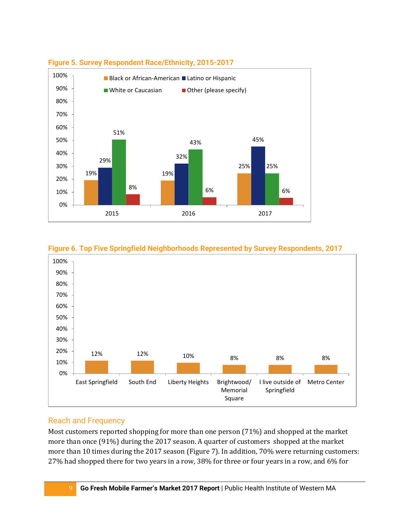

### **Figure 5. Survey Respondent Race/Ethnicity, 2015-2017**



**Figure 6. Top Five Springfield Neighborhoods Represented by Survey Respondents, 2017**

#### <span id="page-8-0"></span>Reach and Frequency

Most customers reported shopping for more than one person (71%) and shopped at the market more than once (91%) during the 2017 season. A quarter of customers shopped at the market more than 10 times during the 2017 season (Figure 7). In addition, 70% were returning customers: 27% had shopped there for two years in a row, 38% for three or four years in a row, and 6% for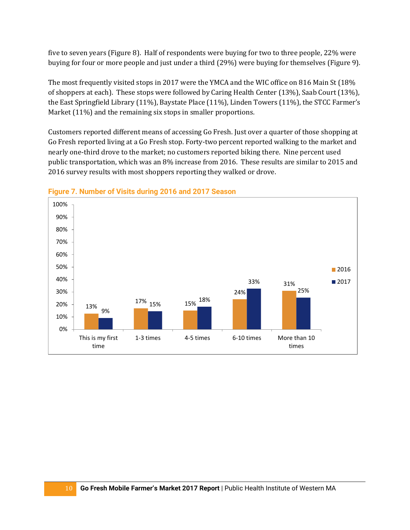five to seven years (Figure 8). Half of respondents were buying for two to three people, 22% were buying for four or more people and just under a third (29%) were buying for themselves (Figure 9).

The most frequently visited stops in 2017 were the YMCA and the WIC office on 816 Main St (18% of shoppers at each). These stops were followed by Caring Health Center (13%), Saab Court (13%), the East Springfield Library (11%), Baystate Place (11%), Linden Towers (11%), the STCC Farmer's Market (11%) and the remaining six stops in smaller proportions.

Customers reported different means of accessing Go Fresh. Just over a quarter of those shopping at Go Fresh reported living at a Go Fresh stop. Forty-two percent reported walking to the market and nearly one-third drove to the market; no customers reported biking there. Nine percent used public transportation, which was an 8% increase from 2016. These results are similar to 2015 and 2016 survey results with most shoppers reporting they walked or drove.



#### **Figure 7. Number of Visits during 2016 and 2017 Season**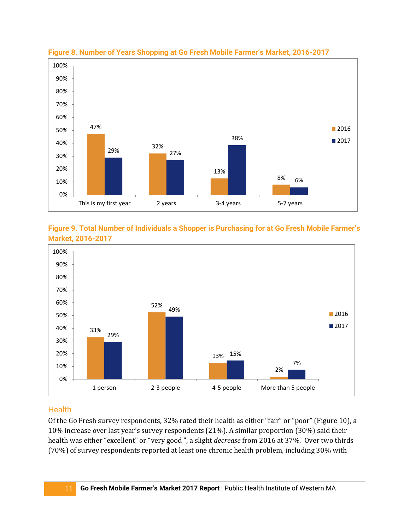







#### <span id="page-10-0"></span>**Health**

Of the Go Fresh survey respondents, 32% rated their health as either "fair" or "poor" (Figure 10), a 10% increase over last year's survey respondents (21%). A similar proportion (30%) said their health was either "excellent" or "very good ", a slight *decrease* from 2016 at 37%. Over two thirds (70%) of survey respondents reported at least one chronic health problem, including 30% with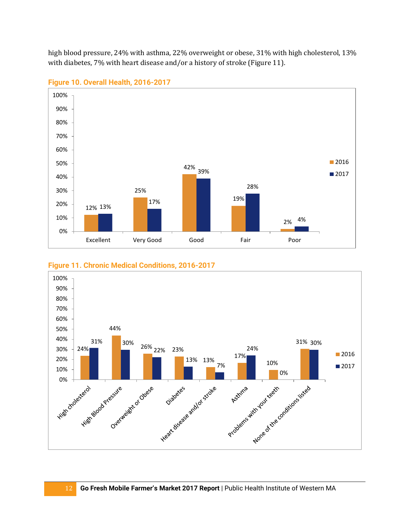high blood pressure, 24% with asthma, 22% overweight or obese, 31% with high cholesterol, 13% with diabetes, 7% with heart disease and/or a history of stroke (Figure 11).



**Figure 10. Overall Health, 2016-2017**



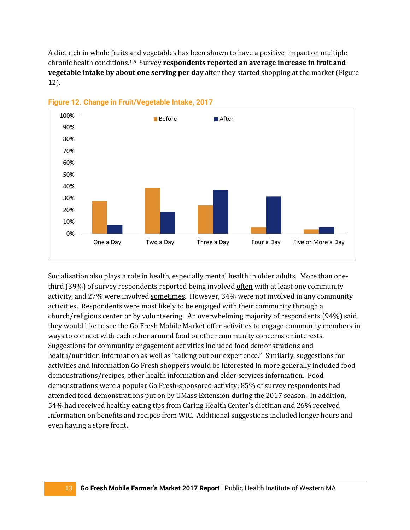A diet rich in whole fruits and vegetables has been shown to have a positive impact on multiple chronic health conditions.1-5 Survey **respondents reported an average increase in fruit and vegetable intake by about one serving per day** after they started shopping at the market (Figure 12).



**Figure 12. Change in Fruit/Vegetable Intake, 2017**

Socialization also plays a role in health, especially mental health in older adults. More than onethird (39%) of survey respondents reported being involved often with at least one community activity, and 27% were involved sometimes. However, 34% were not involved in any community activities. Respondents were most likely to be engaged with their community through a church/religious center or by volunteering. An overwhelming majority of respondents (94%) said they would like to see the Go Fresh Mobile Market offer activities to engage community members in ways to connect with each other around food or other community concerns or interests. Suggestions for community engagement activities included food demonstrations and health/nutrition information as well as "talking out our experience." Similarly, suggestions for activities and information Go Fresh shoppers would be interested in more generally included food demonstrations/recipes, other health information and elder services information. Food demonstrations were a popular Go Fresh-sponsored activity; 85% of survey respondents had attended food demonstrations put on by UMass Extension during the 2017 season. In addition, 54% had received healthy eating tips from Caring Health Center's dietitian and 26% received information on benefits and recipes from WIC. Additional suggestions included longer hours and even having a store front.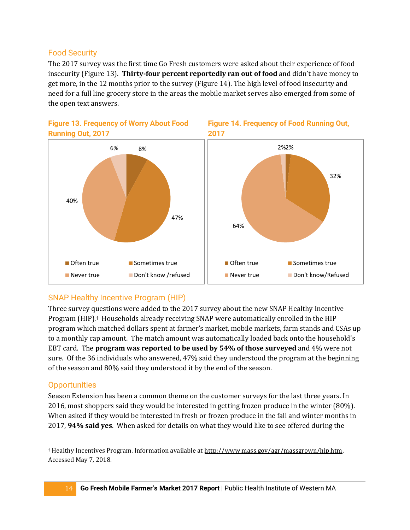### <span id="page-13-0"></span>Food Security

The 2017 survey was the first time Go Fresh customers were asked about their experience of food insecurity (Figure 13). **Thirty-four percent reportedly ran out of food** and didn't have money to get more, in the 12 months prior to the survey (Figure 14). The high level of food insecurity and need for a full line grocery store in the areas the mobile market serves also emerged from some of the open text answers.



#### **Figure 13. Frequency of Worry About Food Running Out, 2017**

## <span id="page-13-1"></span>SNAP Healthy Incentive Program (HIP)

Three survey questions were added to the 2017 survey about the new SNAP Healthy Incentive Program (HIP).† Households already receiving SNAP were automatically enrolled in the HIP program which matched dollars spent at farmer's market, mobile markets, farm stands and CSAs up to a monthly cap amount. The match amount was automatically loaded back onto the household's EBT card. The **program was reported to be used by 54% of those surveyed** and 4% were not sure. Of the 36 individuals who answered, 47% said they understood the program at the beginning of the season and 80% said they understood it by the end of the season.

### <span id="page-13-2"></span>**Opportunities**

Season Extension has been a common theme on the customer surveys for the last three years. In 2016, most shoppers said they would be interested in getting frozen produce in the winter (80%). When asked if they would be interested in fresh or frozen produce in the fall and winter months in 2017, **94% said yes**. When asked for details on what they would like to see offered during the

<sup>†</sup> Healthy Incentives Program. Information available a[t http://www.mass.gov/agr/massgrown/hip.htm.](http://www.mass.gov/agr/massgrown/hip.htm)  Accessed May 7, 2018.